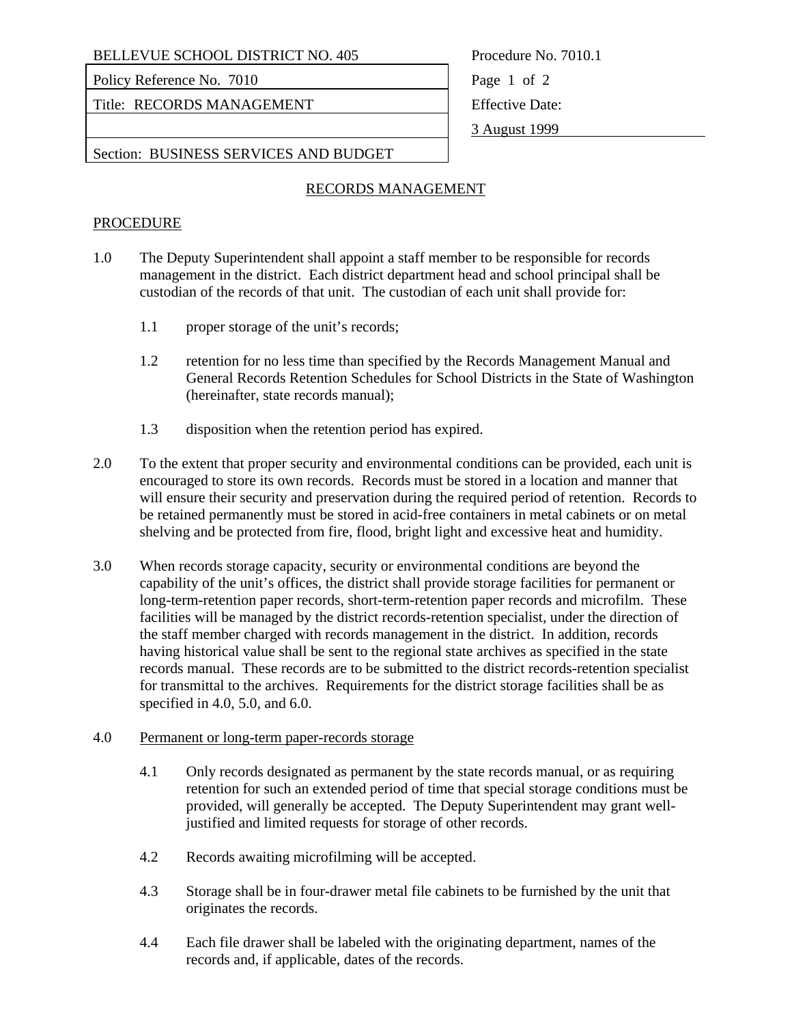BELLEVUE SCHOOL DISTRICT NO. 405 Procedure No. 7010.1

Policy Reference No. 7010 Page 1 of 2

Title: RECORDS MANAGEMENT Fitle: RECORDS MANAGEMENT

3 August 1999

Section: BUSINESS SERVICES AND BUDGET

## RECORDS MANAGEMENT

#### **PROCEDURE**

- 1.0 The Deputy Superintendent shall appoint a staff member to be responsible for records management in the district. Each district department head and school principal shall be custodian of the records of that unit. The custodian of each unit shall provide for:
	- 1.1 proper storage of the unit's records;
	- 1.2 retention for no less time than specified by the Records Management Manual and General Records Retention Schedules for School Districts in the State of Washington (hereinafter, state records manual);
	- 1.3 disposition when the retention period has expired.
- 2.0 To the extent that proper security and environmental conditions can be provided, each unit is encouraged to store its own records. Records must be stored in a location and manner that will ensure their security and preservation during the required period of retention. Records to be retained permanently must be stored in acid-free containers in metal cabinets or on metal shelving and be protected from fire, flood, bright light and excessive heat and humidity.
- 3.0 When records storage capacity, security or environmental conditions are beyond the capability of the unit's offices, the district shall provide storage facilities for permanent or long-term-retention paper records, short-term-retention paper records and microfilm. These facilities will be managed by the district records-retention specialist, under the direction of the staff member charged with records management in the district. In addition, records having historical value shall be sent to the regional state archives as specified in the state records manual. These records are to be submitted to the district records-retention specialist for transmittal to the archives. Requirements for the district storage facilities shall be as specified in 4.0, 5.0, and 6.0.

#### 4.0 Permanent or long-term paper-records storage

- 4.1 Only records designated as permanent by the state records manual, or as requiring retention for such an extended period of time that special storage conditions must be provided, will generally be accepted. The Deputy Superintendent may grant welljustified and limited requests for storage of other records.
- 4.2 Records awaiting microfilming will be accepted.
- 4.3 Storage shall be in four-drawer metal file cabinets to be furnished by the unit that originates the records.
- 4.4 Each file drawer shall be labeled with the originating department, names of the records and, if applicable, dates of the records.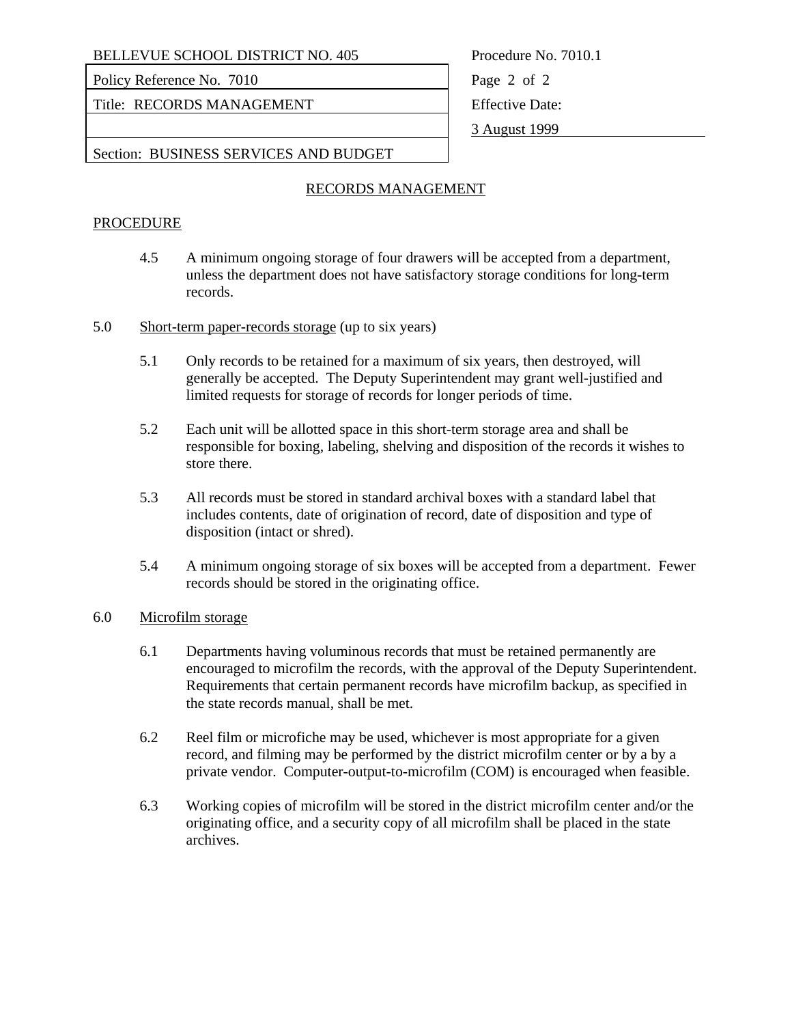BELLEVUE SCHOOL DISTRICT NO. 405 Procedure No. 7010.1

Policy Reference No. 7010 Page 2 of 2

Title: RECORDS MANAGEMENT Fitle: RECORDS MANAGEMENT

3 August 1999

Section: BUSINESS SERVICES AND BUDGET

### RECORDS MANAGEMENT

#### **PROCEDURE**

- 4.5 A minimum ongoing storage of four drawers will be accepted from a department, unless the department does not have satisfactory storage conditions for long-term records.
- 5.0 Short-term paper-records storage (up to six years)
	- 5.1 Only records to be retained for a maximum of six years, then destroyed, will generally be accepted. The Deputy Superintendent may grant well-justified and limited requests for storage of records for longer periods of time.
	- 5.2 Each unit will be allotted space in this short-term storage area and shall be responsible for boxing, labeling, shelving and disposition of the records it wishes to store there.
	- 5.3 All records must be stored in standard archival boxes with a standard label that includes contents, date of origination of record, date of disposition and type of disposition (intact or shred).
	- 5.4 A minimum ongoing storage of six boxes will be accepted from a department. Fewer records should be stored in the originating office.

#### 6.0 Microfilm storage

- 6.1 Departments having voluminous records that must be retained permanently are encouraged to microfilm the records, with the approval of the Deputy Superintendent. Requirements that certain permanent records have microfilm backup, as specified in the state records manual, shall be met.
- 6.2 Reel film or microfiche may be used, whichever is most appropriate for a given record, and filming may be performed by the district microfilm center or by a by a private vendor. Computer-output-to-microfilm (COM) is encouraged when feasible.
- 6.3 Working copies of microfilm will be stored in the district microfilm center and/or the originating office, and a security copy of all microfilm shall be placed in the state archives.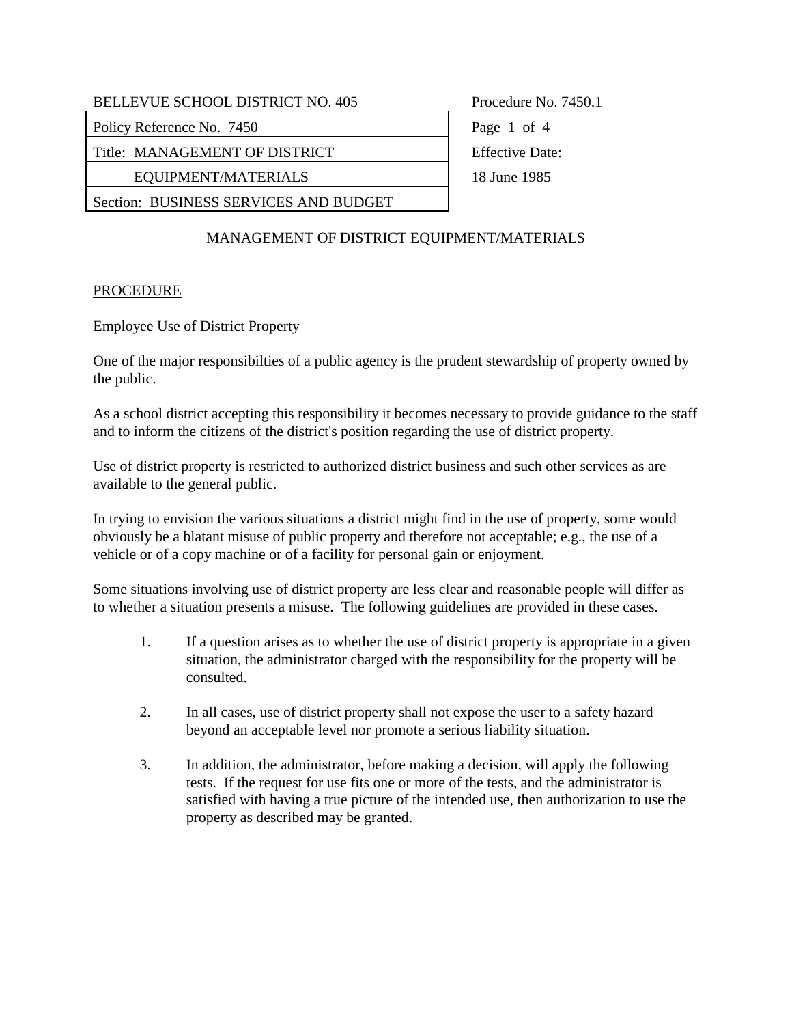| <b>BELLEVUE SCHOOL DISTRICT NO. 405</b> |  |  |
|-----------------------------------------|--|--|
|                                         |  |  |

Policy Reference No. 7450 Page 1 of 4

Title: MANAGEMENT OF DISTRICT Effective Date:

EQUIPMENT/MATERIALS 18 June 1985

Section: BUSINESS SERVICES AND BUDGET

Procedure No. 7450.1

# MANAGEMENT OF DISTRICT EQUIPMENT/MATERIALS

# **PROCEDURE**

## Employee Use of District Property

One of the major responsibilties of a public agency is the prudent stewardship of property owned by the public.

As a school district accepting this responsibility it becomes necessary to provide guidance to the staff and to inform the citizens of the district's position regarding the use of district property.

Use of district property is restricted to authorized district business and such other services as are available to the general public.

In trying to envision the various situations a district might find in the use of property, some would obviously be a blatant misuse of public property and therefore not acceptable; e.g., the use of a vehicle or of a copy machine or of a facility for personal gain or enjoyment.

Some situations involving use of district property are less clear and reasonable people will differ as to whether a situation presents a misuse. The following guidelines are provided in these cases.

- 1. If a question arises as to whether the use of district property is appropriate in a given situation, the administrator charged with the responsibility for the property will be consulted.
- 2. In all cases, use of district property shall not expose the user to a safety hazard beyond an acceptable level nor promote a serious liability situation.
- 3. In addition, the administrator, before making a decision, will apply the following tests. If the request for use fits one or more of the tests, and the administrator is satisfied with having a true picture of the intended use, then authorization to use the property as described may be granted.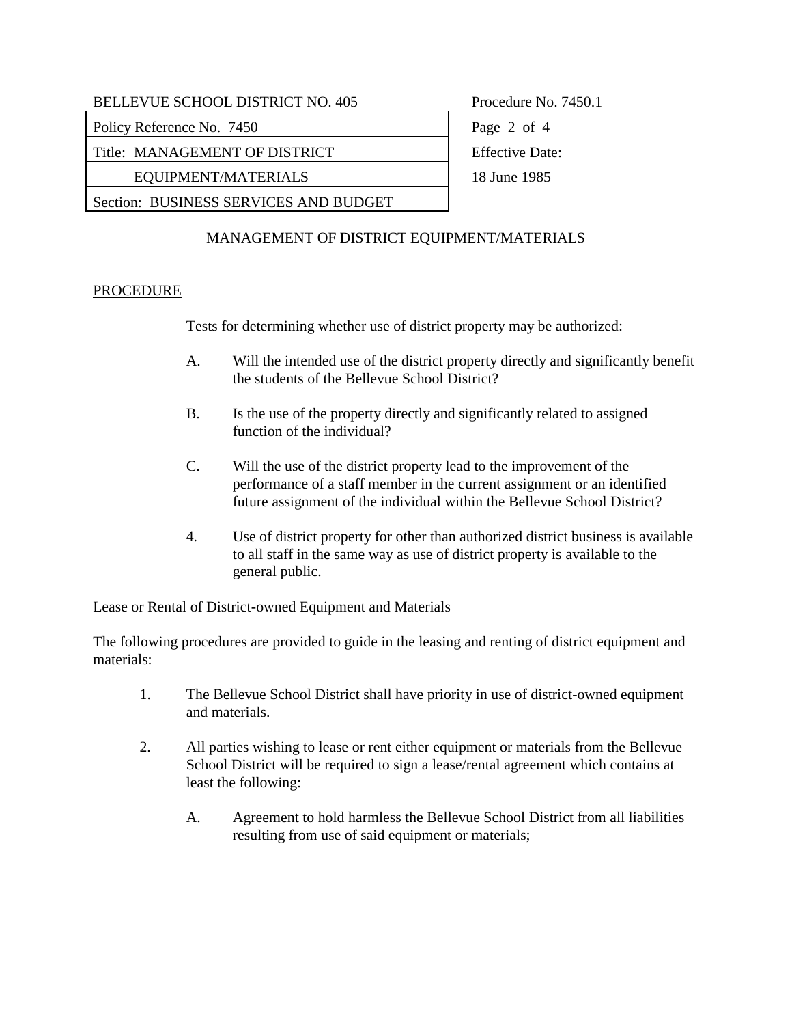| BELLEVUE SCHOOL DISTRICT NO. 405      | Procedure No. 7450.1   |
|---------------------------------------|------------------------|
| Policy Reference No. 7450             | Page 2 of 4            |
| Title: MANAGEMENT OF DISTRICT         | <b>Effective Date:</b> |
| EQUIPMENT/MATERIALS                   | 18 June 1985           |
| Section: BUSINESS SERVICES AND BUDGET |                        |
|                                       |                        |

# MANAGEMENT OF DISTRICT EQUIPMENT/MATERIALS

## **PROCEDURE**

Tests for determining whether use of district property may be authorized:

- A. Will the intended use of the district property directly and significantly benefit the students of the Bellevue School District?
- B. Is the use of the property directly and significantly related to assigned function of the individual?
- C. Will the use of the district property lead to the improvement of the performance of a staff member in the current assignment or an identified future assignment of the individual within the Bellevue School District?
- 4. Use of district property for other than authorized district business is available to all staff in the same way as use of district property is available to the general public.

#### Lease or Rental of District-owned Equipment and Materials

The following procedures are provided to guide in the leasing and renting of district equipment and materials:

- 1. The Bellevue School District shall have priority in use of district-owned equipment and materials.
- 2. All parties wishing to lease or rent either equipment or materials from the Bellevue School District will be required to sign a lease/rental agreement which contains at least the following:
	- A. Agreement to hold harmless the Bellevue School District from all liabilities resulting from use of said equipment or materials;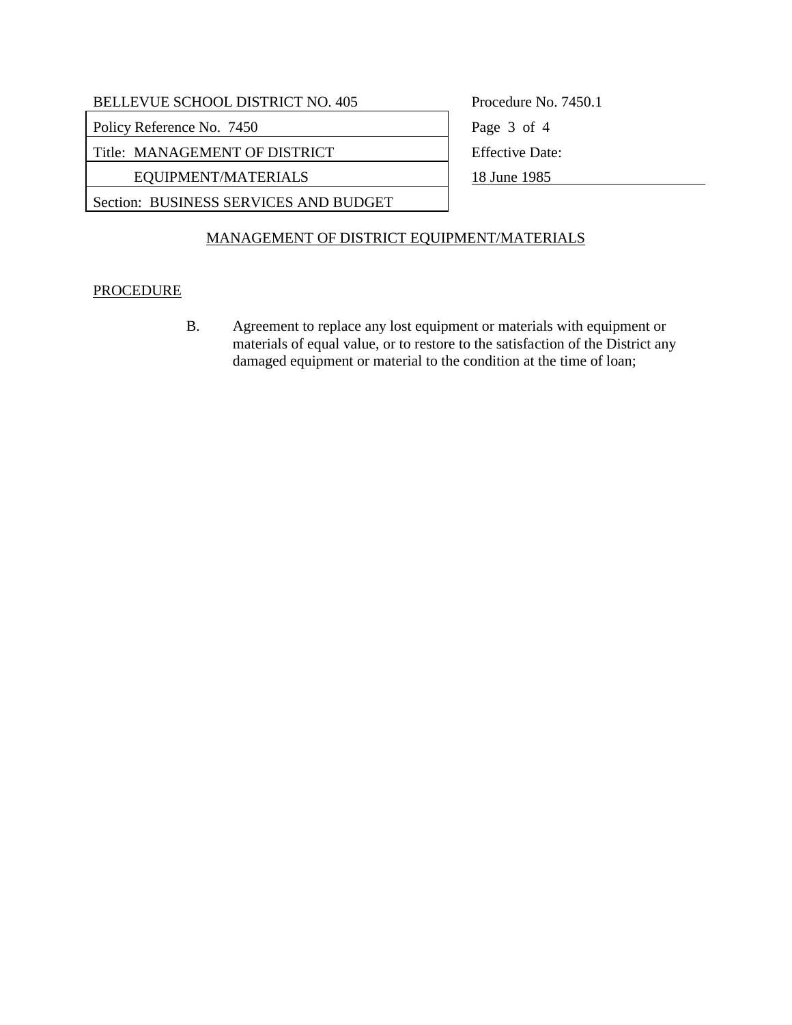| <b>BELLEVUE SCHOOL DISTRICT NO. 405</b> | Procedure No. 7450.1   |
|-----------------------------------------|------------------------|
| Policy Reference No. 7450               | Page 3 of 4            |
| Title: MANAGEMENT OF DISTRICT           | <b>Effective Date:</b> |
| EQUIPMENT/MATERIALS                     | 18 June 1985           |
| Section: BUSINESS SERVICES AND BUDGET   |                        |
|                                         |                        |

# MANAGEMENT OF DISTRICT EQUIPMENT/MATERIALS

## **PROCEDURE**

 B. Agreement to replace any lost equipment or materials with equipment or materials of equal value, or to restore to the satisfaction of the District any damaged equipment or material to the condition at the time of loan;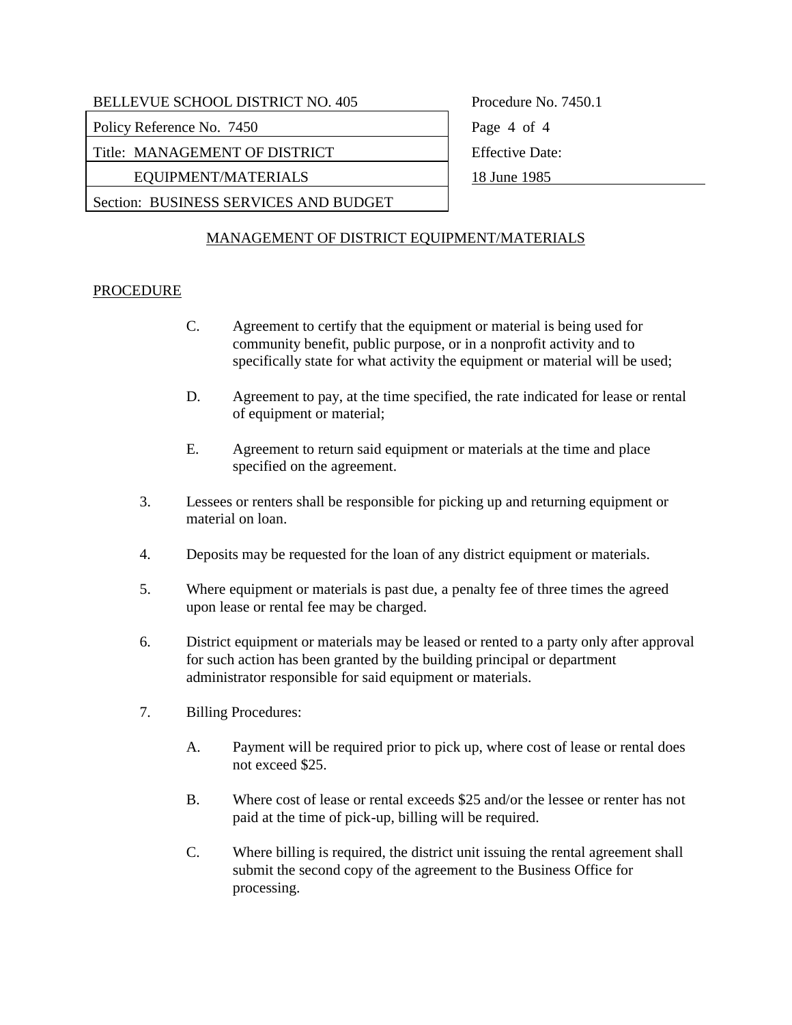| <b>BELLEVUE SCHOOL DISTRICT NO. 405</b> |    |
|-----------------------------------------|----|
| <b>Policy Reference No. 7450</b>        | Pa |
| Title: MANAGEMENT OF DISTRICT           |    |

EQUIPMENT/MATERIALS 18 June 1985

Section: BUSINESS SERVICES AND BUDGET

 $b$ ocedure No. 7450.1 ge  $4$  of  $4$ fective Date:

# MANAGEMENT OF DISTRICT EQUIPMENT/MATERIALS

## PROCEDURE

- C. Agreement to certify that the equipment or material is being used for community benefit, public purpose, or in a nonprofit activity and to specifically state for what activity the equipment or material will be used;
- D. Agreement to pay, at the time specified, the rate indicated for lease or rental of equipment or material;
- E. Agreement to return said equipment or materials at the time and place specified on the agreement.
- 3. Lessees or renters shall be responsible for picking up and returning equipment or material on loan.
- 4. Deposits may be requested for the loan of any district equipment or materials.
- 5. Where equipment or materials is past due, a penalty fee of three times the agreed upon lease or rental fee may be charged.
- 6. District equipment or materials may be leased or rented to a party only after approval for such action has been granted by the building principal or department administrator responsible for said equipment or materials.
- 7. Billing Procedures:
	- A. Payment will be required prior to pick up, where cost of lease or rental does not exceed \$25.
	- B. Where cost of lease or rental exceeds \$25 and/or the lessee or renter has not paid at the time of pick-up, billing will be required.
	- C. Where billing is required, the district unit issuing the rental agreement shall submit the second copy of the agreement to the Business Office for processing.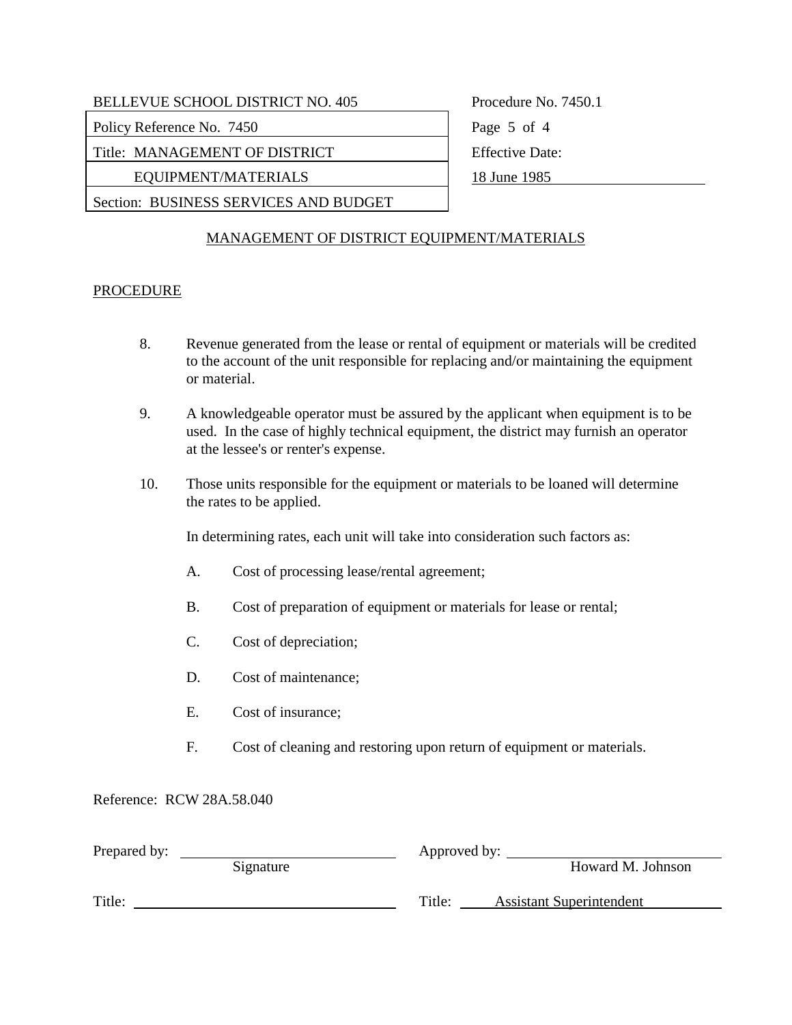| <b>BELLEVUE SCHOOL DISTRICT NO. 405</b> |  |  |
|-----------------------------------------|--|--|
|                                         |  |  |

Policy Reference No. 7450 Page 5 of 4

Title: MANAGEMENT OF DISTRICT Fitle: MANAGEMENT OF DISTRICT

EQUIPMENT/MATERIALS 18 June 1985

Section: BUSINESS SERVICES AND BUDGET

Procedure No. 7450.1

# MANAGEMENT OF DISTRICT EQUIPMENT/MATERIALS

## **PROCEDURE**

- 8. Revenue generated from the lease or rental of equipment or materials will be credited to the account of the unit responsible for replacing and/or maintaining the equipment or material.
- 9. A knowledgeable operator must be assured by the applicant when equipment is to be used. In the case of highly technical equipment, the district may furnish an operator at the lessee's or renter's expense.
- 10. Those units responsible for the equipment or materials to be loaned will determine the rates to be applied.

In determining rates, each unit will take into consideration such factors as:

- A. Cost of processing lease/rental agreement;
- B. Cost of preparation of equipment or materials for lease or rental;
- C. Cost of depreciation;
- D. Cost of maintenance;
- E. Cost of insurance;
- F. Cost of cleaning and restoring upon return of equipment or materials.

### Reference: RCW 28A.58.040

| Prepared by: |           | Approved by: |                                 |
|--------------|-----------|--------------|---------------------------------|
|              | Signature |              | Howard M. Johnson               |
| Title:       |           | Title:       | <b>Assistant Superintendent</b> |